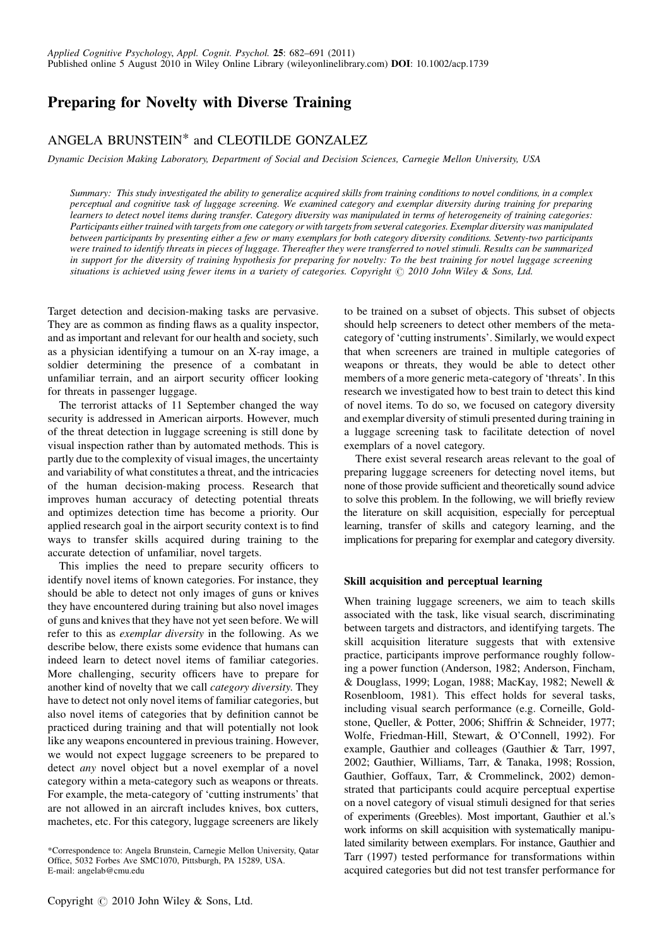# Preparing for Novelty with Diverse Training

## ANGELA BRUNSTEIN\* and CLEOTILDE GONZALEZ

Dynamic Decision Making Laboratory, Department of Social and Decision Sciences, Carnegie Mellon University, USA

Summary: This study investigated the ability to generalize acquired skills from training conditions to novel conditions, in a complex perceptual and cognitive task of luggage screening. We examined category and exemplar diversity during training for preparing learners to detect novel items during transfer. Category diversity was manipulated in terms of heterogeneity of training categories: Participants either trained with targets from one category or with targets from several categories. Exemplar diversity was manipulated between participants by presenting either a few or many exemplars for both category diversity conditions. Seventy-two participants were trained to identify threats in pieces of luggage. Thereafter they were transferred to novel stimuli. Results can be summarized in support for the diversity of training hypothesis for preparing for novelty: To the best training for novel luggage screening situations is achieved using fewer items in a variety of categories. Copyright  $\odot$  2010 John Wiley & Sons, Ltd.

Target detection and decision-making tasks are pervasive. They are as common as finding flaws as a quality inspector, and as important and relevant for our health and society, such as a physician identifying a tumour on an X-ray image, a soldier determining the presence of a combatant in unfamiliar terrain, and an airport security officer looking for threats in passenger luggage.

The terrorist attacks of 11 September changed the way security is addressed in American airports. However, much of the threat detection in luggage screening is still done by visual inspection rather than by automated methods. This is partly due to the complexity of visual images, the uncertainty and variability of what constitutes a threat, and the intricacies of the human decision-making process. Research that improves human accuracy of detecting potential threats and optimizes detection time has become a priority. Our applied research goal in the airport security context is to find ways to transfer skills acquired during training to the accurate detection of unfamiliar, novel targets.

This implies the need to prepare security officers to identify novel items of known categories. For instance, they should be able to detect not only images of guns or knives they have encountered during training but also novel images of guns and knives that they have not yet seen before. We will refer to this as exemplar diversity in the following. As we describe below, there exists some evidence that humans can indeed learn to detect novel items of familiar categories. More challenging, security officers have to prepare for another kind of novelty that we call category diversity. They have to detect not only novel items of familiar categories, but also novel items of categories that by definition cannot be practiced during training and that will potentially not look like any weapons encountered in previous training. However, we would not expect luggage screeners to be prepared to detect any novel object but a novel exemplar of a novel category within a meta-category such as weapons or threats. For example, the meta-category of 'cutting instruments' that are not allowed in an aircraft includes knives, box cutters, machetes, etc. For this category, luggage screeners are likely

to be trained on a subset of objects. This subset of objects should help screeners to detect other members of the metacategory of 'cutting instruments'. Similarly, we would expect that when screeners are trained in multiple categories of weapons or threats, they would be able to detect other members of a more generic meta-category of 'threats'. In this research we investigated how to best train to detect this kind of novel items. To do so, we focused on category diversity and exemplar diversity of stimuli presented during training in a luggage screening task to facilitate detection of novel exemplars of a novel category.

There exist several research areas relevant to the goal of preparing luggage screeners for detecting novel items, but none of those provide sufficient and theoretically sound advice to solve this problem. In the following, we will briefly review the literature on skill acquisition, especially for perceptual learning, transfer of skills and category learning, and the implications for preparing for exemplar and category diversity.

#### Skill acquisition and perceptual learning

When training luggage screeners, we aim to teach skills associated with the task, like visual search, discriminating between targets and distractors, and identifying targets. The skill acquisition literature suggests that with extensive practice, participants improve performance roughly following a power function (Anderson, 1982; Anderson, Fincham, & Douglass, 1999; Logan, 1988; MacKay, 1982; Newell & Rosenbloom, 1981). This effect holds for several tasks, including visual search performance (e.g. Corneille, Goldstone, Queller, & Potter, 2006; Shiffrin & Schneider, 1977; Wolfe, Friedman-Hill, Stewart, & O'Connell, 1992). For example, Gauthier and colleages (Gauthier & Tarr, 1997, 2002; Gauthier, Williams, Tarr, & Tanaka, 1998; Rossion, Gauthier, Goffaux, Tarr, & Crommelinck, 2002) demonstrated that participants could acquire perceptual expertise on a novel category of visual stimuli designed for that series of experiments (Greebles). Most important, Gauthier et al.'s work informs on skill acquisition with systematically manipulated similarity between exemplars. For instance, Gauthier and Tarr (1997) tested performance for transformations within acquired categories but did not test transfer performance for

<sup>\*</sup>Correspondence to: Angela Brunstein, Carnegie Mellon University, Qatar Office, 5032 Forbes Ave SMC1070, Pittsburgh, PA 15289, USA. E-mail: angelab@cmu.edu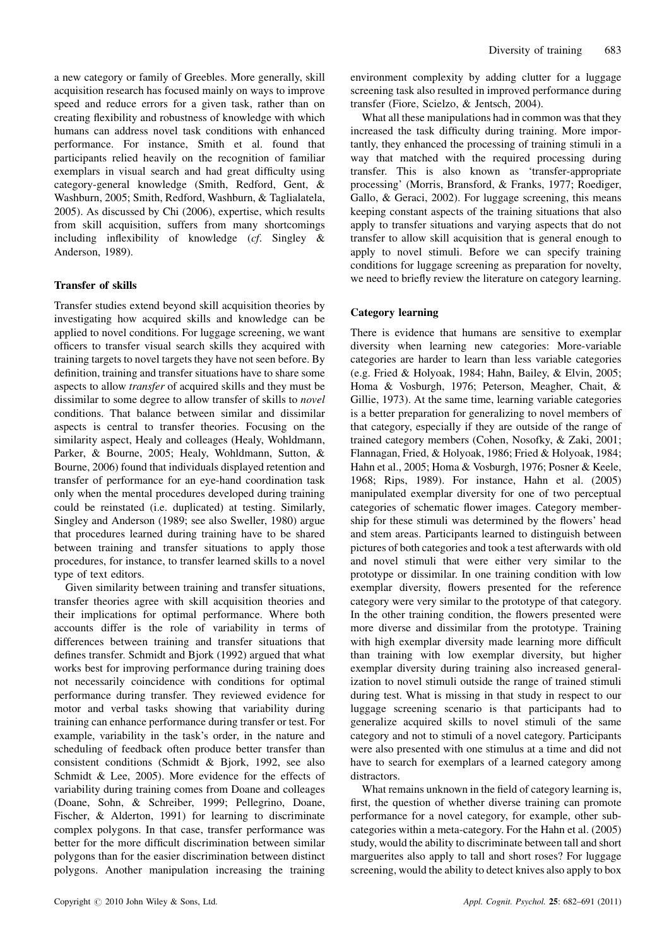a new category or family of Greebles. More generally, skill acquisition research has focused mainly on ways to improve speed and reduce errors for a given task, rather than on creating flexibility and robustness of knowledge with which humans can address novel task conditions with enhanced performance. For instance, Smith et al. found that participants relied heavily on the recognition of familiar exemplars in visual search and had great difficulty using category-general knowledge (Smith, Redford, Gent, & Washburn, 2005; Smith, Redford, Washburn, & Taglialatela, 2005). As discussed by Chi (2006), expertise, which results from skill acquisition, suffers from many shortcomings including inflexibility of knowledge (cf. Singley & Anderson, 1989).

### Transfer of skills

Transfer studies extend beyond skill acquisition theories by investigating how acquired skills and knowledge can be applied to novel conditions. For luggage screening, we want officers to transfer visual search skills they acquired with training targets to novel targets they have not seen before. By definition, training and transfer situations have to share some aspects to allow transfer of acquired skills and they must be dissimilar to some degree to allow transfer of skills to novel conditions. That balance between similar and dissimilar aspects is central to transfer theories. Focusing on the similarity aspect, Healy and colleages (Healy, Wohldmann, Parker, & Bourne, 2005; Healy, Wohldmann, Sutton, & Bourne, 2006) found that individuals displayed retention and transfer of performance for an eye-hand coordination task only when the mental procedures developed during training could be reinstated (i.e. duplicated) at testing. Similarly, Singley and Anderson (1989; see also Sweller, 1980) argue that procedures learned during training have to be shared between training and transfer situations to apply those procedures, for instance, to transfer learned skills to a novel type of text editors.

Given similarity between training and transfer situations, transfer theories agree with skill acquisition theories and their implications for optimal performance. Where both accounts differ is the role of variability in terms of differences between training and transfer situations that defines transfer. Schmidt and Bjork (1992) argued that what works best for improving performance during training does not necessarily coincidence with conditions for optimal performance during transfer. They reviewed evidence for motor and verbal tasks showing that variability during training can enhance performance during transfer or test. For example, variability in the task's order, in the nature and scheduling of feedback often produce better transfer than consistent conditions (Schmidt & Bjork, 1992, see also Schmidt & Lee, 2005). More evidence for the effects of variability during training comes from Doane and colleages (Doane, Sohn, & Schreiber, 1999; Pellegrino, Doane, Fischer, & Alderton, 1991) for learning to discriminate complex polygons. In that case, transfer performance was better for the more difficult discrimination between similar polygons than for the easier discrimination between distinct polygons. Another manipulation increasing the training

environment complexity by adding clutter for a luggage screening task also resulted in improved performance during transfer (Fiore, Scielzo, & Jentsch, 2004).

What all these manipulations had in common was that they increased the task difficulty during training. More importantly, they enhanced the processing of training stimuli in a way that matched with the required processing during transfer. This is also known as 'transfer-appropriate processing' (Morris, Bransford, & Franks, 1977; Roediger, Gallo, & Geraci, 2002). For luggage screening, this means keeping constant aspects of the training situations that also apply to transfer situations and varying aspects that do not transfer to allow skill acquisition that is general enough to apply to novel stimuli. Before we can specify training conditions for luggage screening as preparation for novelty, we need to briefly review the literature on category learning.

## Category learning

There is evidence that humans are sensitive to exemplar diversity when learning new categories: More-variable categories are harder to learn than less variable categories (e.g. Fried & Holyoak, 1984; Hahn, Bailey, & Elvin, 2005; Homa & Vosburgh, 1976; Peterson, Meagher, Chait, & Gillie, 1973). At the same time, learning variable categories is a better preparation for generalizing to novel members of that category, especially if they are outside of the range of trained category members (Cohen, Nosofky, & Zaki, 2001; Flannagan, Fried, & Holyoak, 1986; Fried & Holyoak, 1984; Hahn et al., 2005; Homa & Vosburgh, 1976; Posner & Keele, 1968; Rips, 1989). For instance, Hahn et al. (2005) manipulated exemplar diversity for one of two perceptual categories of schematic flower images. Category membership for these stimuli was determined by the flowers' head and stem areas. Participants learned to distinguish between pictures of both categories and took a test afterwards with old and novel stimuli that were either very similar to the prototype or dissimilar. In one training condition with low exemplar diversity, flowers presented for the reference category were very similar to the prototype of that category. In the other training condition, the flowers presented were more diverse and dissimilar from the prototype. Training with high exemplar diversity made learning more difficult than training with low exemplar diversity, but higher exemplar diversity during training also increased generalization to novel stimuli outside the range of trained stimuli during test. What is missing in that study in respect to our luggage screening scenario is that participants had to generalize acquired skills to novel stimuli of the same category and not to stimuli of a novel category. Participants were also presented with one stimulus at a time and did not have to search for exemplars of a learned category among distractors.

What remains unknown in the field of category learning is, first, the question of whether diverse training can promote performance for a novel category, for example, other subcategories within a meta-category. For the Hahn et al. (2005) study, would the ability to discriminate between tall and short marguerites also apply to tall and short roses? For luggage screening, would the ability to detect knives also apply to box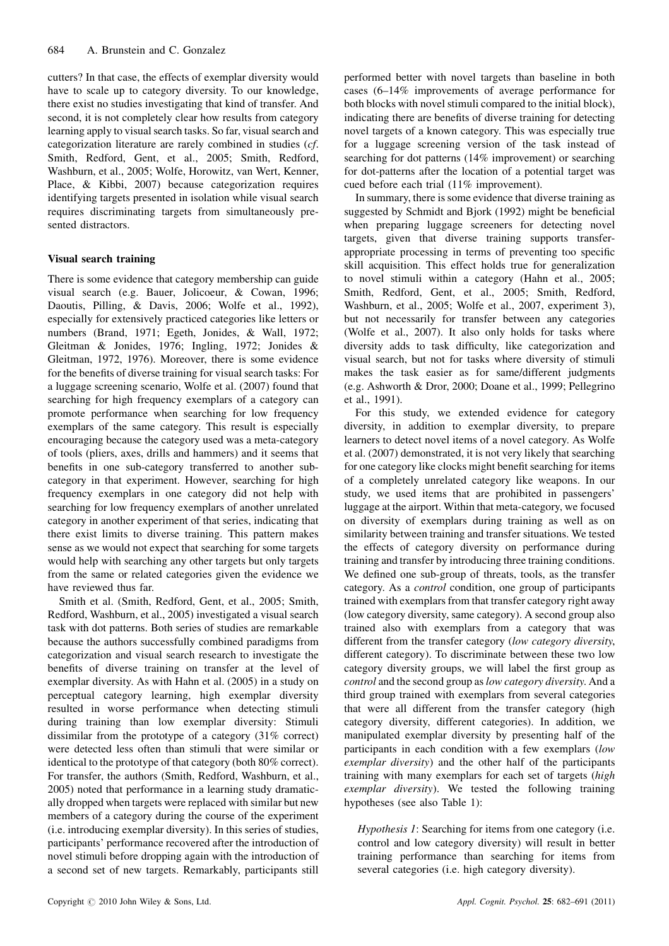cutters? In that case, the effects of exemplar diversity would have to scale up to category diversity. To our knowledge, there exist no studies investigating that kind of transfer. And second, it is not completely clear how results from category learning apply to visual search tasks. So far, visual search and categorization literature are rarely combined in studies (cf. Smith, Redford, Gent, et al., 2005; Smith, Redford, Washburn, et al., 2005; Wolfe, Horowitz, van Wert, Kenner, Place, & Kibbi, 2007) because categorization requires identifying targets presented in isolation while visual search requires discriminating targets from simultaneously presented distractors.

### Visual search training

There is some evidence that category membership can guide visual search (e.g. Bauer, Jolicoeur, & Cowan, 1996; Daoutis, Pilling, & Davis, 2006; Wolfe et al., 1992), especially for extensively practiced categories like letters or numbers (Brand, 1971; Egeth, Jonides, & Wall, 1972; Gleitman & Jonides, 1976; Ingling, 1972; Jonides & Gleitman, 1972, 1976). Moreover, there is some evidence for the benefits of diverse training for visual search tasks: For a luggage screening scenario, Wolfe et al. (2007) found that searching for high frequency exemplars of a category can promote performance when searching for low frequency exemplars of the same category. This result is especially encouraging because the category used was a meta-category of tools (pliers, axes, drills and hammers) and it seems that benefits in one sub-category transferred to another subcategory in that experiment. However, searching for high frequency exemplars in one category did not help with searching for low frequency exemplars of another unrelated category in another experiment of that series, indicating that there exist limits to diverse training. This pattern makes sense as we would not expect that searching for some targets would help with searching any other targets but only targets from the same or related categories given the evidence we have reviewed thus far.

Smith et al. (Smith, Redford, Gent, et al., 2005; Smith, Redford, Washburn, et al., 2005) investigated a visual search task with dot patterns. Both series of studies are remarkable because the authors successfully combined paradigms from categorization and visual search research to investigate the benefits of diverse training on transfer at the level of exemplar diversity. As with Hahn et al. (2005) in a study on perceptual category learning, high exemplar diversity resulted in worse performance when detecting stimuli during training than low exemplar diversity: Stimuli dissimilar from the prototype of a category (31% correct) were detected less often than stimuli that were similar or identical to the prototype of that category (both 80% correct). For transfer, the authors (Smith, Redford, Washburn, et al., 2005) noted that performance in a learning study dramatically dropped when targets were replaced with similar but new members of a category during the course of the experiment (i.e. introducing exemplar diversity). In this series of studies, participants' performance recovered after the introduction of novel stimuli before dropping again with the introduction of a second set of new targets. Remarkably, participants still performed better with novel targets than baseline in both cases (6–14% improvements of average performance for both blocks with novel stimuli compared to the initial block), indicating there are benefits of diverse training for detecting novel targets of a known category. This was especially true for a luggage screening version of the task instead of searching for dot patterns (14% improvement) or searching for dot-patterns after the location of a potential target was cued before each trial (11% improvement).

In summary, there is some evidence that diverse training as suggested by Schmidt and Bjork (1992) might be beneficial when preparing luggage screeners for detecting novel targets, given that diverse training supports transferappropriate processing in terms of preventing too specific skill acquisition. This effect holds true for generalization to novel stimuli within a category (Hahn et al., 2005; Smith, Redford, Gent, et al., 2005; Smith, Redford, Washburn, et al., 2005; Wolfe et al., 2007, experiment 3), but not necessarily for transfer between any categories (Wolfe et al., 2007). It also only holds for tasks where diversity adds to task difficulty, like categorization and visual search, but not for tasks where diversity of stimuli makes the task easier as for same/different judgments (e.g. Ashworth & Dror, 2000; Doane et al., 1999; Pellegrino et al., 1991).

For this study, we extended evidence for category diversity, in addition to exemplar diversity, to prepare learners to detect novel items of a novel category. As Wolfe et al. (2007) demonstrated, it is not very likely that searching for one category like clocks might benefit searching for items of a completely unrelated category like weapons. In our study, we used items that are prohibited in passengers' luggage at the airport. Within that meta-category, we focused on diversity of exemplars during training as well as on similarity between training and transfer situations. We tested the effects of category diversity on performance during training and transfer by introducing three training conditions. We defined one sub-group of threats, tools, as the transfer category. As a control condition, one group of participants trained with exemplars from that transfer category right away (low category diversity, same category). A second group also trained also with exemplars from a category that was different from the transfer category (low category diversity, different category). To discriminate between these two low category diversity groups, we will label the first group as control and the second group as low category diversity. And a third group trained with exemplars from several categories that were all different from the transfer category (high category diversity, different categories). In addition, we manipulated exemplar diversity by presenting half of the participants in each condition with a few exemplars (low exemplar diversity) and the other half of the participants training with many exemplars for each set of targets (high exemplar diversity). We tested the following training hypotheses (see also Table 1):

Hypothesis 1: Searching for items from one category (i.e. control and low category diversity) will result in better training performance than searching for items from several categories (i.e. high category diversity).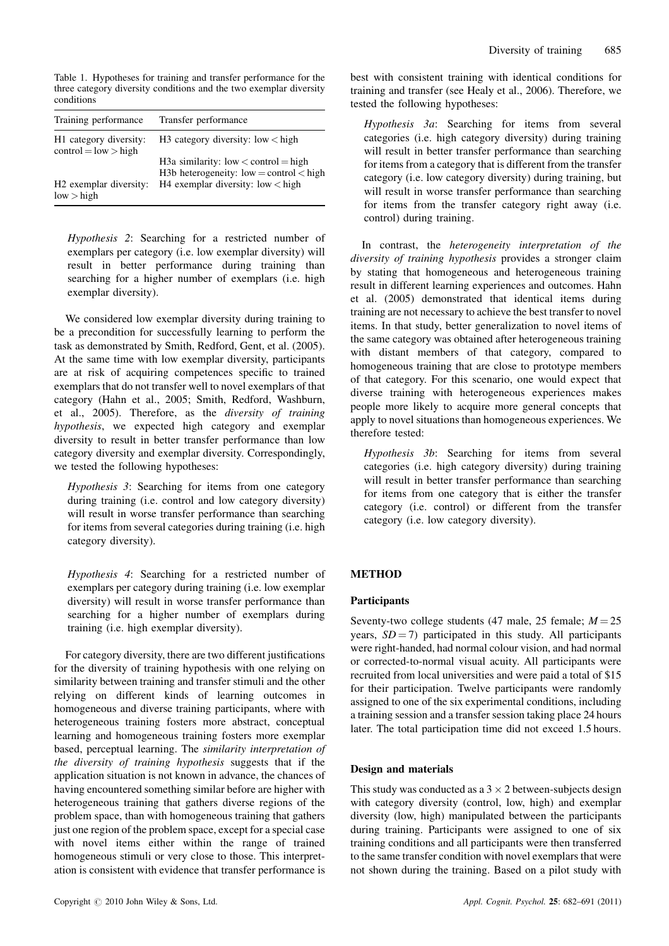Table 1. Hypotheses for training and transfer performance for the three category diversity conditions and the two exemplar diversity conditions

| Training performance                                         | Transfer performance                                                                |
|--------------------------------------------------------------|-------------------------------------------------------------------------------------|
| H <sub>1</sub> category diversity:<br>$control = low > high$ | H <sub>3</sub> category diversity: low $\lt$ high                                   |
|                                                              | H3a similarity: $low <$ control = high<br>H3b heterogeneity: $low = control < high$ |
| H <sub>2</sub> exemplar diversity:<br>low > high             | H4 exemplar diversity: low $\lt$ high                                               |

Hypothesis 2: Searching for a restricted number of exemplars per category (i.e. low exemplar diversity) will result in better performance during training than searching for a higher number of exemplars (i.e. high exemplar diversity).

We considered low exemplar diversity during training to be a precondition for successfully learning to perform the task as demonstrated by Smith, Redford, Gent, et al. (2005). At the same time with low exemplar diversity, participants are at risk of acquiring competences specific to trained exemplars that do not transfer well to novel exemplars of that category (Hahn et al., 2005; Smith, Redford, Washburn, et al., 2005). Therefore, as the diversity of training hypothesis, we expected high category and exemplar diversity to result in better transfer performance than low category diversity and exemplar diversity. Correspondingly, we tested the following hypotheses:

Hypothesis 3: Searching for items from one category during training (i.e. control and low category diversity) will result in worse transfer performance than searching for items from several categories during training (i.e. high category diversity).

Hypothesis 4: Searching for a restricted number of exemplars per category during training (i.e. low exemplar diversity) will result in worse transfer performance than searching for a higher number of exemplars during training (i.e. high exemplar diversity).

For category diversity, there are two different justifications for the diversity of training hypothesis with one relying on similarity between training and transfer stimuli and the other relying on different kinds of learning outcomes in homogeneous and diverse training participants, where with heterogeneous training fosters more abstract, conceptual learning and homogeneous training fosters more exemplar based, perceptual learning. The similarity interpretation of the diversity of training hypothesis suggests that if the application situation is not known in advance, the chances of having encountered something similar before are higher with heterogeneous training that gathers diverse regions of the problem space, than with homogeneous training that gathers just one region of the problem space, except for a special case with novel items either within the range of trained homogeneous stimuli or very close to those. This interpretation is consistent with evidence that transfer performance is

best with consistent training with identical conditions for training and transfer (see Healy et al., 2006). Therefore, we tested the following hypotheses:

Hypothesis 3a: Searching for items from several categories (i.e. high category diversity) during training will result in better transfer performance than searching for items from a category that is different from the transfer category (i.e. low category diversity) during training, but will result in worse transfer performance than searching for items from the transfer category right away (i.e. control) during training.

In contrast, the heterogeneity interpretation of the diversity of training hypothesis provides a stronger claim by stating that homogeneous and heterogeneous training result in different learning experiences and outcomes. Hahn et al. (2005) demonstrated that identical items during training are not necessary to achieve the best transfer to novel items. In that study, better generalization to novel items of the same category was obtained after heterogeneous training with distant members of that category, compared to homogeneous training that are close to prototype members of that category. For this scenario, one would expect that diverse training with heterogeneous experiences makes people more likely to acquire more general concepts that apply to novel situations than homogeneous experiences. We therefore tested:

Hypothesis 3b: Searching for items from several categories (i.e. high category diversity) during training will result in better transfer performance than searching for items from one category that is either the transfer category (i.e. control) or different from the transfer category (i.e. low category diversity).

## **METHOD**

## **Participants**

Seventy-two college students (47 male, 25 female;  $M = 25$ years,  $SD = 7$ ) participated in this study. All participants were right-handed, had normal colour vision, and had normal or corrected-to-normal visual acuity. All participants were recruited from local universities and were paid a total of \$15 for their participation. Twelve participants were randomly assigned to one of the six experimental conditions, including a training session and a transfer session taking place 24 hours later. The total participation time did not exceed 1.5 hours.

## Design and materials

This study was conducted as a  $3 \times 2$  between-subjects design with category diversity (control, low, high) and exemplar diversity (low, high) manipulated between the participants during training. Participants were assigned to one of six training conditions and all participants were then transferred to the same transfer condition with novel exemplars that were not shown during the training. Based on a pilot study with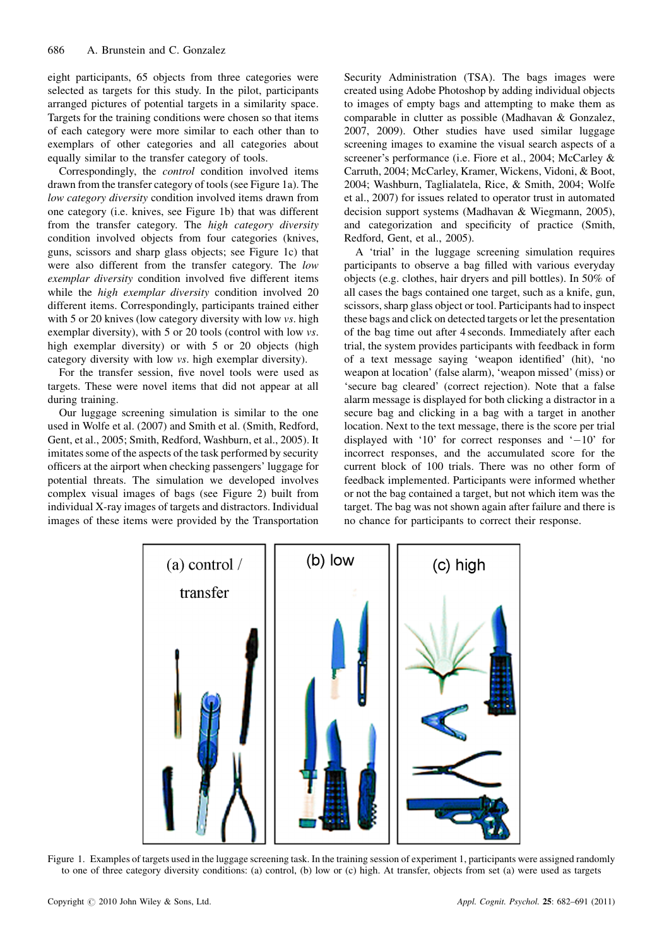eight participants, 65 objects from three categories were selected as targets for this study. In the pilot, participants arranged pictures of potential targets in a similarity space. Targets for the training conditions were chosen so that items of each category were more similar to each other than to exemplars of other categories and all categories about equally similar to the transfer category of tools.

Correspondingly, the control condition involved items drawn from the transfer category of tools (see Figure 1a). The low category diversity condition involved items drawn from one category (i.e. knives, see Figure 1b) that was different from the transfer category. The high category diversity condition involved objects from four categories (knives, guns, scissors and sharp glass objects; see Figure 1c) that were also different from the transfer category. The low exemplar diversity condition involved five different items while the *high exemplar diversity* condition involved 20 different items. Correspondingly, participants trained either with 5 or 20 knives (low category diversity with low vs. high exemplar diversity), with 5 or 20 tools (control with low vs. high exemplar diversity) or with 5 or 20 objects (high category diversity with low vs. high exemplar diversity).

For the transfer session, five novel tools were used as targets. These were novel items that did not appear at all during training.

Our luggage screening simulation is similar to the one used in Wolfe et al. (2007) and Smith et al. (Smith, Redford, Gent, et al., 2005; Smith, Redford, Washburn, et al., 2005). It imitates some of the aspects of the task performed by security officers at the airport when checking passengers' luggage for potential threats. The simulation we developed involves complex visual images of bags (see Figure 2) built from individual X-ray images of targets and distractors. Individual images of these items were provided by the Transportation

Security Administration (TSA). The bags images were created using Adobe Photoshop by adding individual objects to images of empty bags and attempting to make them as comparable in clutter as possible (Madhavan & Gonzalez, 2007, 2009). Other studies have used similar luggage screening images to examine the visual search aspects of a screener's performance (i.e. Fiore et al., 2004; McCarley & Carruth, 2004; McCarley, Kramer, Wickens, Vidoni, & Boot, 2004; Washburn, Taglialatela, Rice, & Smith, 2004; Wolfe et al., 2007) for issues related to operator trust in automated decision support systems (Madhavan & Wiegmann, 2005), and categorization and specificity of practice (Smith, Redford, Gent, et al., 2005).

A 'trial' in the luggage screening simulation requires participants to observe a bag filled with various everyday objects (e.g. clothes, hair dryers and pill bottles). In 50% of all cases the bags contained one target, such as a knife, gun, scissors, sharp glass object or tool. Participants had to inspect these bags and click on detected targets or let the presentation of the bag time out after 4 seconds. Immediately after each trial, the system provides participants with feedback in form of a text message saying 'weapon identified' (hit), 'no weapon at location' (false alarm), 'weapon missed' (miss) or 'secure bag cleared' (correct rejection). Note that a false alarm message is displayed for both clicking a distractor in a secure bag and clicking in a bag with a target in another location. Next to the text message, there is the score per trial displayed with '10' for correct responses and ' $-10$ ' for incorrect responses, and the accumulated score for the current block of 100 trials. There was no other form of feedback implemented. Participants were informed whether or not the bag contained a target, but not which item was the target. The bag was not shown again after failure and there is no chance for participants to correct their response.



Figure 1. Examples of targets used in the luggage screening task. In the training session of experiment 1, participants were assigned randomly to one of three category diversity conditions: (a) control, (b) low or (c) high. At transfer, objects from set (a) were used as targets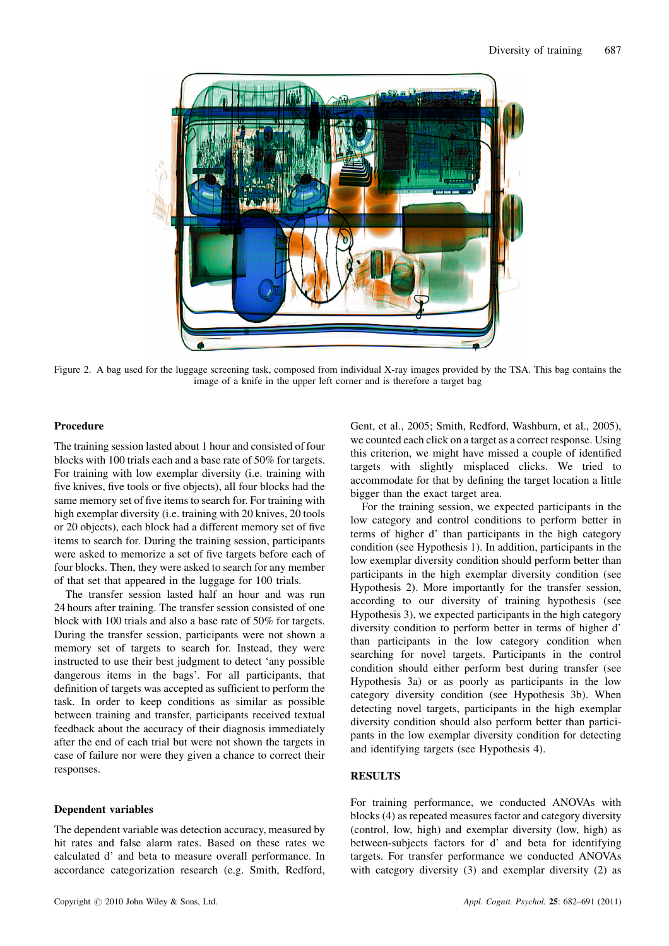

Figure 2. A bag used for the luggage screening task, composed from individual X-ray images provided by the TSA. This bag contains the image of a knife in the upper left corner and is therefore a target bag

### Procedure

The training session lasted about 1 hour and consisted of four blocks with 100 trials each and a base rate of 50% for targets. For training with low exemplar diversity (i.e. training with five knives, five tools or five objects), all four blocks had the same memory set of five items to search for. For training with high exemplar diversity (i.e. training with 20 knives, 20 tools or 20 objects), each block had a different memory set of five items to search for. During the training session, participants were asked to memorize a set of five targets before each of four blocks. Then, they were asked to search for any member of that set that appeared in the luggage for 100 trials.

The transfer session lasted half an hour and was run 24 hours after training. The transfer session consisted of one block with 100 trials and also a base rate of 50% for targets. During the transfer session, participants were not shown a memory set of targets to search for. Instead, they were instructed to use their best judgment to detect 'any possible dangerous items in the bags'. For all participants, that definition of targets was accepted as sufficient to perform the task. In order to keep conditions as similar as possible between training and transfer, participants received textual feedback about the accuracy of their diagnosis immediately after the end of each trial but were not shown the targets in case of failure nor were they given a chance to correct their responses.

#### Dependent variables

The dependent variable was detection accuracy, measured by hit rates and false alarm rates. Based on these rates we calculated d' and beta to measure overall performance. In accordance categorization research (e.g. Smith, Redford,

Copyright  $\odot$  2010 John Wiley & Sons, Ltd.  $\qquad \qquad$  Appl. Cognit. Psychol. 25: 682–691 (2011)

Gent, et al., 2005; Smith, Redford, Washburn, et al., 2005), we counted each click on a target as a correct response. Using this criterion, we might have missed a couple of identified targets with slightly misplaced clicks. We tried to accommodate for that by defining the target location a little bigger than the exact target area.

For the training session, we expected participants in the low category and control conditions to perform better in terms of higher d' than participants in the high category condition (see Hypothesis 1). In addition, participants in the low exemplar diversity condition should perform better than participants in the high exemplar diversity condition (see Hypothesis 2). More importantly for the transfer session, according to our diversity of training hypothesis (see Hypothesis 3), we expected participants in the high category diversity condition to perform better in terms of higher d' than participants in the low category condition when searching for novel targets. Participants in the control condition should either perform best during transfer (see Hypothesis 3a) or as poorly as participants in the low category diversity condition (see Hypothesis 3b). When detecting novel targets, participants in the high exemplar diversity condition should also perform better than participants in the low exemplar diversity condition for detecting and identifying targets (see Hypothesis 4).

#### **RESULTS**

For training performance, we conducted ANOVAs with blocks (4) as repeated measures factor and category diversity (control, low, high) and exemplar diversity (low, high) as between-subjects factors for d' and beta for identifying targets. For transfer performance we conducted ANOVAs with category diversity (3) and exemplar diversity (2) as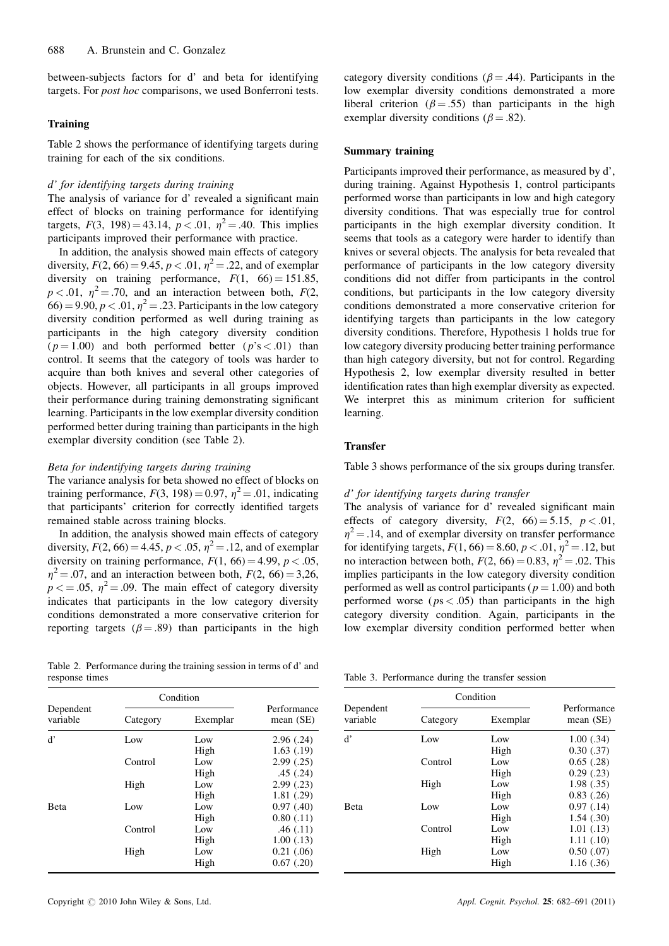between-subjects factors for d' and beta for identifying targets. For post hoc comparisons, we used Bonferroni tests.

#### **Training**

Table 2 shows the performance of identifying targets during training for each of the six conditions.

#### d' for identifying targets during training

The analysis of variance for d' revealed a significant main effect of blocks on training performance for identifying targets,  $F(3, 198) = 43.14$ ,  $p < .01$ ,  $\eta^2 = .40$ . This implies participants improved their performance with practice.

In addition, the analysis showed main effects of category diversity,  $F(2, 66) = 9.45$ ,  $p < .01$ ,  $n^2 = .22$ , and of exemplar diversity on training performance,  $F(1, 66) = 151.85$ ,  $p < .01$ ,  $\eta^2 = .70$ , and an interaction between both,  $F(2)$ ,  $66$ ) = 9.90,  $p < .01$ ,  $n^2 = .23$ . Participants in the low category diversity condition performed as well during training as participants in the high category diversity condition  $(p = 1.00)$  and both performed better  $(p's < .01)$  than control. It seems that the category of tools was harder to acquire than both knives and several other categories of objects. However, all participants in all groups improved their performance during training demonstrating significant learning. Participants in the low exemplar diversity condition performed better during training than participants in the high exemplar diversity condition (see Table 2).

#### Beta for indentifying targets during training

The variance analysis for beta showed no effect of blocks on training performance,  $F(3, 198) = 0.97$ ,  $\eta^2 = .01$ , indicating that participants' criterion for correctly identified targets remained stable across training blocks.

In addition, the analysis showed main effects of category diversity,  $F(2, 66) = 4.45$ ,  $p < .05$ ,  $\eta^2 = .12$ , and of exemplar diversity on training performance,  $F(1, 66) = 4.99$ ,  $p < .05$ ,  $n^2$  = .07, and an interaction between both,  $F(2, 66)$  = 3,26,  $p \le 0.05$ ,  $\eta^2 = 0.09$ . The main effect of category diversity indicates that participants in the low category diversity conditions demonstrated a more conservative criterion for reporting targets ( $\beta = .89$ ) than participants in the high

Table 2. Performance during the training session in terms of d' and response times

| Condition |                            |  |  |
|-----------|----------------------------|--|--|
| Exemplar  | Performance<br>mean $(SE)$ |  |  |
| Low       | 2.96(.24)                  |  |  |
| High      | 1.63(0.19)                 |  |  |
| Low       | 2.99(0.25)                 |  |  |
| High      | .45(.24)                   |  |  |
| Low       | 2.99(0.23)                 |  |  |
|           | 1.81(0.29)                 |  |  |
| Low       | 0.97(0.40)                 |  |  |
| High      | 0.80(0.11)                 |  |  |
| Low       | .46(.11)                   |  |  |
| High      | 1.00(0.13)                 |  |  |
| Low       | 0.21(0.06)                 |  |  |
| High      | $0.67$ $(.20)$             |  |  |
|           | High                       |  |  |

category diversity conditions ( $\beta$  = .44). Participants in the low exemplar diversity conditions demonstrated a more liberal criterion ( $\beta = .55$ ) than participants in the high exemplar diversity conditions ( $\beta = .82$ ).

#### Summary training

Participants improved their performance, as measured by d', during training. Against Hypothesis 1, control participants performed worse than participants in low and high category diversity conditions. That was especially true for control participants in the high exemplar diversity condition. It seems that tools as a category were harder to identify than knives or several objects. The analysis for beta revealed that performance of participants in the low category diversity conditions did not differ from participants in the control conditions, but participants in the low category diversity conditions demonstrated a more conservative criterion for identifying targets than participants in the low category diversity conditions. Therefore, Hypothesis 1 holds true for low category diversity producing better training performance than high category diversity, but not for control. Regarding Hypothesis 2, low exemplar diversity resulted in better identification rates than high exemplar diversity as expected. We interpret this as minimum criterion for sufficient learning.

### Transfer

Table 3 shows performance of the six groups during transfer.

#### d' for identifying targets during transfer

The analysis of variance for d' revealed significant main effects of category diversity,  $F(2, 66) = 5.15, p < .01$ ,  $\eta^2$  = .14, and of exemplar diversity on transfer performance for identifying targets,  $F(1, 66) = 8.60, p < .01, \eta^2 = .12$ , but no interaction between both,  $F(2, 66) = 0.83$ ,  $n^2 = .02$ . This implies participants in the low category diversity condition performed as well as control participants ( $p = 1.00$ ) and both performed worse ( $ps < .05$ ) than participants in the high category diversity condition. Again, participants in the low exemplar diversity condition performed better when

|  |  | Table 3. Performance during the transfer session |  |  |  |  |
|--|--|--------------------------------------------------|--|--|--|--|
|--|--|--------------------------------------------------|--|--|--|--|

|                       | Condition |          |                            |  |
|-----------------------|-----------|----------|----------------------------|--|
| Dependent<br>variable | Category  | Exemplar | Performance<br>mean $(SE)$ |  |
| $\mathbf{d}'$         | Low       | Low      | 1.00(.34)                  |  |
|                       |           | High     | 0.30(0.37)                 |  |
|                       | Control   | Low      | $0.65$ $(.28)$             |  |
|                       |           | High     | 0.29(0.23)                 |  |
|                       | High      | Low      | 1.98(.35)                  |  |
|                       |           | High     | 0.83(0.26)                 |  |
| <b>B</b> eta          | Low       | Low      | 0.97(0.14)                 |  |
|                       |           | High     | 1.54(0.30)                 |  |
|                       | Control   | Low      | 1.01(0.13)                 |  |
|                       |           | High     | 1.11(0.10)                 |  |
|                       | High      | Low      | 0.50(0.07)                 |  |
|                       |           | High     | 1.16(0.36)                 |  |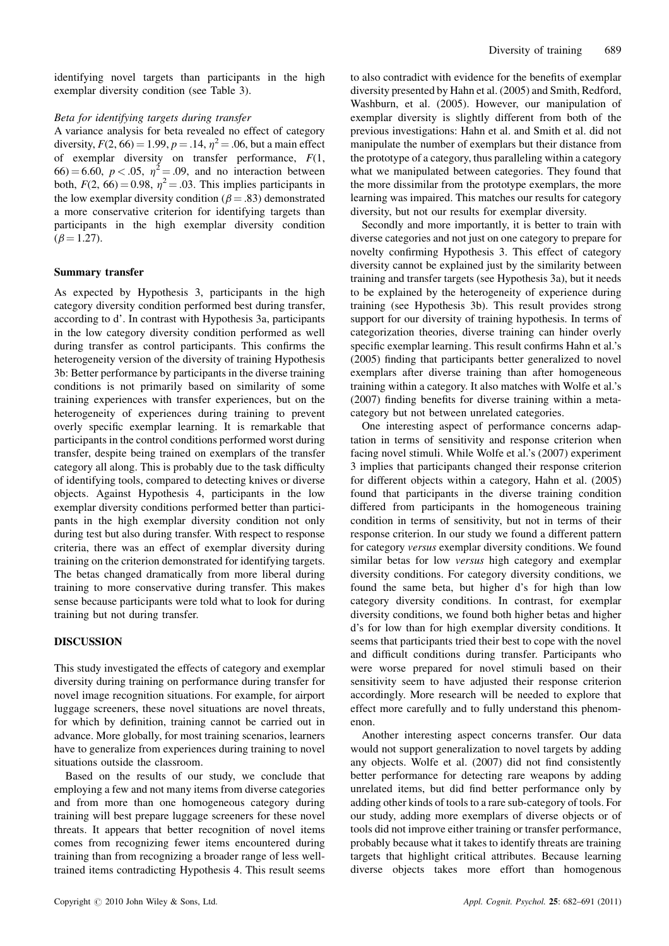identifying novel targets than participants in the high exemplar diversity condition (see Table 3).

#### Beta for identifying targets during transfer

A variance analysis for beta revealed no effect of category diversity,  $F(2, 66) = 1.99$ ,  $p = .14$ ,  $\eta^2 = .06$ , but a main effect of exemplar diversity on transfer performance,  $F(1, 1)$ 66) = 6.60,  $p < .05$ ,  $\eta^2 = .09$ , and no interaction between both,  $F(2, 66) = 0.98$ ,  $\eta^2 = .03$ . This implies participants in the low exemplar diversity condition ( $\beta = .83$ ) demonstrated a more conservative criterion for identifying targets than participants in the high exemplar diversity condition  $(\beta = 1.27)$ .

#### Summary transfer

As expected by Hypothesis 3, participants in the high category diversity condition performed best during transfer, according to d'. In contrast with Hypothesis 3a, participants in the low category diversity condition performed as well during transfer as control participants. This confirms the heterogeneity version of the diversity of training Hypothesis 3b: Better performance by participants in the diverse training conditions is not primarily based on similarity of some training experiences with transfer experiences, but on the heterogeneity of experiences during training to prevent overly specific exemplar learning. It is remarkable that participants in the control conditions performed worst during transfer, despite being trained on exemplars of the transfer category all along. This is probably due to the task difficulty of identifying tools, compared to detecting knives or diverse objects. Against Hypothesis 4, participants in the low exemplar diversity conditions performed better than participants in the high exemplar diversity condition not only during test but also during transfer. With respect to response criteria, there was an effect of exemplar diversity during training on the criterion demonstrated for identifying targets. The betas changed dramatically from more liberal during training to more conservative during transfer. This makes sense because participants were told what to look for during training but not during transfer.

#### DISCUSSION

This study investigated the effects of category and exemplar diversity during training on performance during transfer for novel image recognition situations. For example, for airport luggage screeners, these novel situations are novel threats, for which by definition, training cannot be carried out in advance. More globally, for most training scenarios, learners have to generalize from experiences during training to novel situations outside the classroom.

Based on the results of our study, we conclude that employing a few and not many items from diverse categories and from more than one homogeneous category during training will best prepare luggage screeners for these novel threats. It appears that better recognition of novel items comes from recognizing fewer items encountered during training than from recognizing a broader range of less welltrained items contradicting Hypothesis 4. This result seems to also contradict with evidence for the benefits of exemplar diversity presented by Hahn et al. (2005) and Smith, Redford, Washburn, et al. (2005). However, our manipulation of exemplar diversity is slightly different from both of the previous investigations: Hahn et al. and Smith et al. did not manipulate the number of exemplars but their distance from the prototype of a category, thus paralleling within a category what we manipulated between categories. They found that the more dissimilar from the prototype exemplars, the more learning was impaired. This matches our results for category diversity, but not our results for exemplar diversity.

Secondly and more importantly, it is better to train with diverse categories and not just on one category to prepare for novelty confirming Hypothesis 3. This effect of category diversity cannot be explained just by the similarity between training and transfer targets (see Hypothesis 3a), but it needs to be explained by the heterogeneity of experience during training (see Hypothesis 3b). This result provides strong support for our diversity of training hypothesis. In terms of categorization theories, diverse training can hinder overly specific exemplar learning. This result confirms Hahn et al.'s (2005) finding that participants better generalized to novel exemplars after diverse training than after homogeneous training within a category. It also matches with Wolfe et al.'s (2007) finding benefits for diverse training within a metacategory but not between unrelated categories.

One interesting aspect of performance concerns adaptation in terms of sensitivity and response criterion when facing novel stimuli. While Wolfe et al.'s (2007) experiment 3 implies that participants changed their response criterion for different objects within a category, Hahn et al. (2005) found that participants in the diverse training condition differed from participants in the homogeneous training condition in terms of sensitivity, but not in terms of their response criterion. In our study we found a different pattern for category versus exemplar diversity conditions. We found similar betas for low versus high category and exemplar diversity conditions. For category diversity conditions, we found the same beta, but higher d's for high than low category diversity conditions. In contrast, for exemplar diversity conditions, we found both higher betas and higher d's for low than for high exemplar diversity conditions. It seems that participants tried their best to cope with the novel and difficult conditions during transfer. Participants who were worse prepared for novel stimuli based on their sensitivity seem to have adjusted their response criterion accordingly. More research will be needed to explore that effect more carefully and to fully understand this phenomenon.

Another interesting aspect concerns transfer. Our data would not support generalization to novel targets by adding any objects. Wolfe et al. (2007) did not find consistently better performance for detecting rare weapons by adding unrelated items, but did find better performance only by adding other kinds of tools to a rare sub-category of tools. For our study, adding more exemplars of diverse objects or of tools did not improve either training or transfer performance, probably because what it takes to identify threats are training targets that highlight critical attributes. Because learning diverse objects takes more effort than homogenous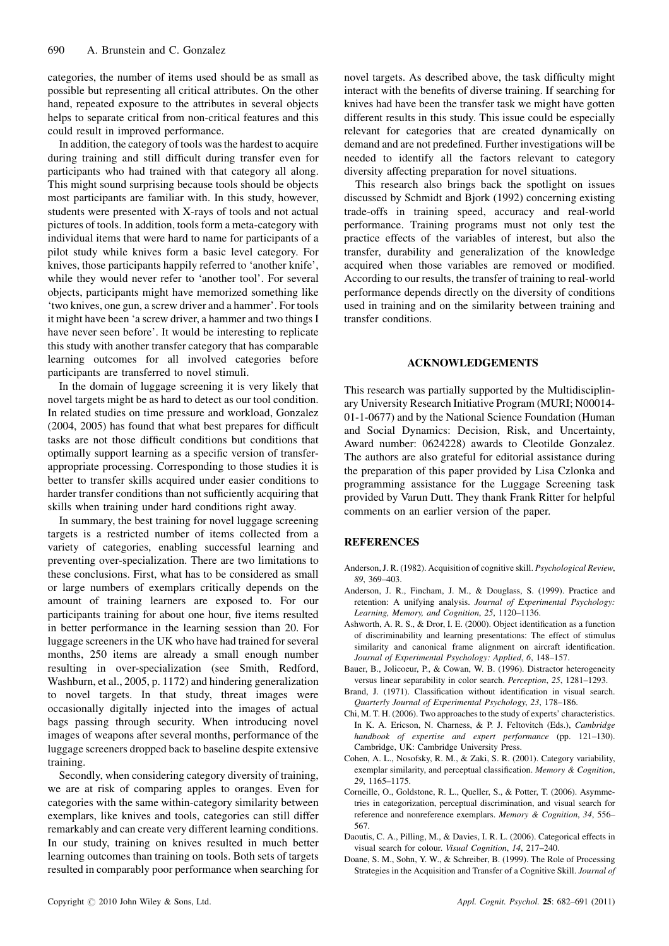categories, the number of items used should be as small as possible but representing all critical attributes. On the other hand, repeated exposure to the attributes in several objects helps to separate critical from non-critical features and this could result in improved performance.

In addition, the category of tools was the hardest to acquire during training and still difficult during transfer even for participants who had trained with that category all along. This might sound surprising because tools should be objects most participants are familiar with. In this study, however, students were presented with X-rays of tools and not actual pictures of tools. In addition, tools form a meta-category with individual items that were hard to name for participants of a pilot study while knives form a basic level category. For knives, those participants happily referred to 'another knife', while they would never refer to 'another tool'. For several objects, participants might have memorized something like 'two knives, one gun, a screw driver and a hammer'. For tools it might have been 'a screw driver, a hammer and two things I have never seen before'. It would be interesting to replicate this study with another transfer category that has comparable learning outcomes for all involved categories before participants are transferred to novel stimuli.

In the domain of luggage screening it is very likely that novel targets might be as hard to detect as our tool condition. In related studies on time pressure and workload, Gonzalez (2004, 2005) has found that what best prepares for difficult tasks are not those difficult conditions but conditions that optimally support learning as a specific version of transferappropriate processing. Corresponding to those studies it is better to transfer skills acquired under easier conditions to harder transfer conditions than not sufficiently acquiring that skills when training under hard conditions right away.

In summary, the best training for novel luggage screening targets is a restricted number of items collected from a variety of categories, enabling successful learning and preventing over-specialization. There are two limitations to these conclusions. First, what has to be considered as small or large numbers of exemplars critically depends on the amount of training learners are exposed to. For our participants training for about one hour, five items resulted in better performance in the learning session than 20. For luggage screeners in the UK who have had trained for several months, 250 items are already a small enough number resulting in over-specialization (see Smith, Redford, Washburn, et al., 2005, p. 1172) and hindering generalization to novel targets. In that study, threat images were occasionally digitally injected into the images of actual bags passing through security. When introducing novel images of weapons after several months, performance of the luggage screeners dropped back to baseline despite extensive training.

Secondly, when considering category diversity of training, we are at risk of comparing apples to oranges. Even for categories with the same within-category similarity between exemplars, like knives and tools, categories can still differ remarkably and can create very different learning conditions. In our study, training on knives resulted in much better learning outcomes than training on tools. Both sets of targets resulted in comparably poor performance when searching for novel targets. As described above, the task difficulty might interact with the benefits of diverse training. If searching for knives had have been the transfer task we might have gotten different results in this study. This issue could be especially relevant for categories that are created dynamically on demand and are not predefined. Further investigations will be needed to identify all the factors relevant to category diversity affecting preparation for novel situations.

This research also brings back the spotlight on issues discussed by Schmidt and Bjork (1992) concerning existing trade-offs in training speed, accuracy and real-world performance. Training programs must not only test the practice effects of the variables of interest, but also the transfer, durability and generalization of the knowledge acquired when those variables are removed or modified. According to our results, the transfer of training to real-world performance depends directly on the diversity of conditions used in training and on the similarity between training and transfer conditions.

#### ACKNOWLEDGEMENTS

This research was partially supported by the Multidisciplinary University Research Initiative Program (MURI; N00014- 01-1-0677) and by the National Science Foundation (Human and Social Dynamics: Decision, Risk, and Uncertainty, Award number: 0624228) awards to Cleotilde Gonzalez. The authors are also grateful for editorial assistance during the preparation of this paper provided by Lisa Czlonka and programming assistance for the Luggage Screening task provided by Varun Dutt. They thank Frank Ritter for helpful comments on an earlier version of the paper.

#### **REFERENCES**

- Anderson, J. R. (1982). Acquisition of cognitive skill. Psychological Review, 89, 369–403.
- Anderson, J. R., Fincham, J. M., & Douglass, S. (1999). Practice and retention: A unifying analysis. Journal of Experimental Psychology: Learning, Memory, and Cognition, 25, 1120–1136.
- Ashworth, A. R. S., & Dror, I. E. (2000). Object identification as a function of discriminability and learning presentations: The effect of stimulus similarity and canonical frame alignment on aircraft identification. Journal of Experimental Psychology: Applied, 6, 148–157.
- Bauer, B., Jolicoeur, P., & Cowan, W. B. (1996). Distractor heterogeneity versus linear separability in color search. Perception, 25, 1281–1293.
- Brand, J. (1971). Classification without identification in visual search. Quarterly Journal of Experimental Psychology, 23, 178–186.
- Chi, M. T. H. (2006). Two approaches to the study of experts' characteristics. In K. A. Ericson, N. Charness, & P. J. Feltovitch (Eds.), Cambridge handbook of expertise and expert performance (pp. 121–130). Cambridge, UK: Cambridge University Press.
- Cohen, A. L., Nosofsky, R. M., & Zaki, S. R. (2001). Category variability, exemplar similarity, and perceptual classification. Memory & Cognition, 29, 1165–1175.
- Corneille, O., Goldstone, R. L., Queller, S., & Potter, T. (2006). Asymmetries in categorization, perceptual discrimination, and visual search for reference and nonreference exemplars. Memory & Cognition, 34, 556– 567.
- Daoutis, C. A., Pilling, M., & Davies, I. R. L. (2006). Categorical effects in visual search for colour. Visual Cognition, 14, 217–240.
- Doane, S. M., Sohn, Y. W., & Schreiber, B. (1999). The Role of Processing Strategies in the Acquisition and Transfer of a Cognitive Skill. Journal of